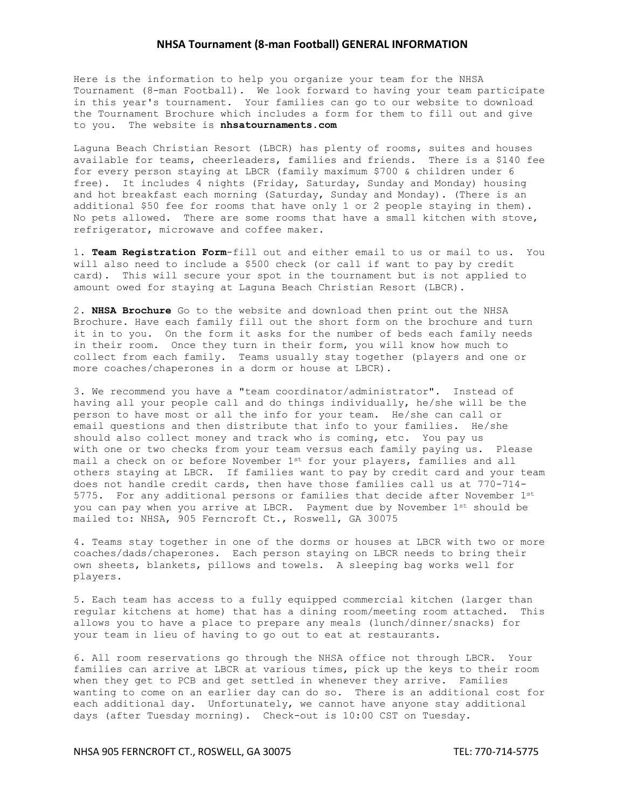## **NHSA Tournament (8-man Football) GENERAL INFORMATION**

Here is the information to help you organize your team for the NHSA Tournament (8-man Football). We look forward to having your team participate in this year's tournament. Your families can go to our website to download the Tournament Brochure which includes a form for them to fill out and give to you. The website is **nhsatournaments.com**

Laguna Beach Christian Resort (LBCR) has plenty of rooms, suites and houses available for teams, cheerleaders, families and friends. There is a \$140 fee for every person staying at LBCR (family maximum \$700 & children under 6 free). It includes 4 nights (Friday, Saturday, Sunday and Monday) housing and hot breakfast each morning (Saturday, Sunday and Monday). (There is an additional \$50 fee for rooms that have only 1 or 2 people staying in them). No pets allowed. There are some rooms that have a small kitchen with stove, refrigerator, microwave and coffee maker.

1. **Team Registration Form**-fill out and either email to us or mail to us. You will also need to include a \$500 check (or call if want to pay by credit card). This will secure your spot in the tournament but is not applied to amount owed for staying at Laguna Beach Christian Resort (LBCR).

2. **NHSA Brochure** Go to the website and download then print out the NHSA Brochure. Have each family fill out the short form on the brochure and turn it in to you. On the form it asks for the number of beds each family needs in their room. Once they turn in their form, you will know how much to collect from each family**.** Teams usually stay together (players and one or more coaches/chaperones in a dorm or house at LBCR).

3. We recommend you have a "team coordinator/administrator". Instead of having all your people call and do things individually, he/she will be the person to have most or all the info for your team. He/she can call or email questions and then distribute that info to your families. He/she should also collect money and track who is coming, etc. You pay us with one or two checks from your team versus each family paying us. Please mail a check on or before November 1st for your players, families and all others staying at LBCR. If families want to pay by credit card and your team does not handle credit cards, then have those families call us at 770-714- 5775. For any additional persons or families that decide after November 1st you can pay when you arrive at LBCR. Payment due by November 1<sup>st</sup> should be mailed to: NHSA, 905 Ferncroft Ct., Roswell, GA 30075

4. Teams stay together in one of the dorms or houses at LBCR with two or more coaches/dads/chaperones. Each person staying on LBCR needs to bring their own sheets, blankets, pillows and towels. A sleeping bag works well for players.

5. Each team has access to a fully equipped commercial kitchen (larger than regular kitchens at home) that has a dining room/meeting room attached. This allows you to have a place to prepare any meals (lunch/dinner/snacks) for your team in lieu of having to go out to eat at restaurants.

6. All room reservations go through the NHSA office not through LBCR. Your families can arrive at LBCR at various times, pick up the keys to their room when they get to PCB and get settled in whenever they arrive. Families wanting to come on an earlier day can do so. There is an additional cost for each additional day. Unfortunately, we cannot have anyone stay additional days (after Tuesday morning). Check-out is 10:00 CST on Tuesday.

NHSA 905 FERNCROFT CT., ROSWELL, GA 30075 TEL: 770-714-5775